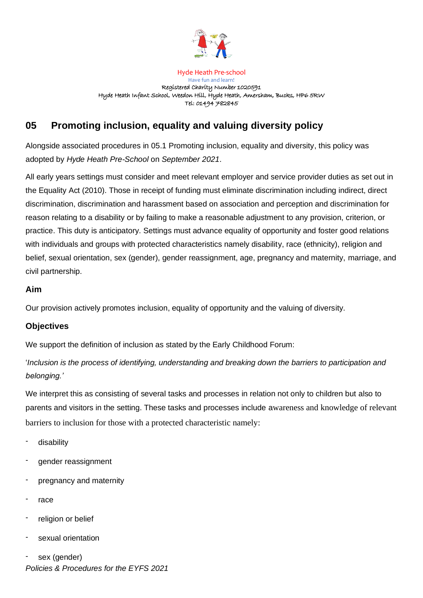

Hyde Heath Pre-school Have fun and learn! Registered Charity Number 1020591 Hyde Heath Infant School, Weedon Hill, Hyde Heath, Amersham, Bucks, HP6 5RW Tel: 01494 782845

# **05 Promoting inclusion, equality and valuing diversity policy**

Alongside associated procedures in 05.1 Promoting inclusion, equality and diversity, this policy was adopted by *Hyde Heath Pre-School* on *September 2021*.

All early years settings must consider and meet relevant employer and service provider duties as set out in the Equality Act (2010). Those in receipt of funding must eliminate discrimination including indirect, direct discrimination, discrimination and harassment based on association and perception and discrimination for reason relating to a disability or by failing to make a reasonable adjustment to any provision, criterion, or practice. This duty is anticipatory. Settings must advance equality of opportunity and foster good relations with individuals and groups with protected characteristics namely disability, race (ethnicity), religion and belief, sexual orientation, sex (gender), gender reassignment, age, pregnancy and maternity, marriage, and civil partnership.

## **Aim**

Our provision actively promotes inclusion, equality of opportunity and the valuing of diversity.

## **Objectives**

We support the definition of inclusion as stated by the Early Childhood Forum:

'*Inclusion is the process of identifying, understanding and breaking down the barriers to participation and belonging.'*

We interpret this as consisting of several tasks and processes in relation not only to children but also to parents and visitors in the setting. These tasks and processes include awareness and knowledge of relevant barriers to inclusion for those with a protected characteristic namely:

- disability
- gender reassignment
- pregnancy and maternity
- race
- religion or belief
- sexual orientation
- *Policies & Procedures for the EYFS 2021* sex (gender)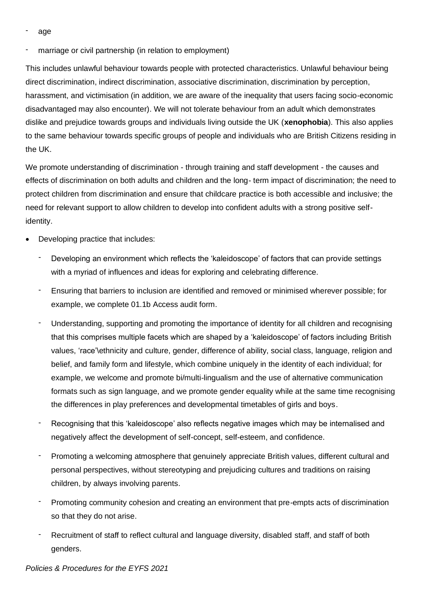age

marriage or civil partnership (in relation to employment)

This includes unlawful behaviour towards people with protected characteristics. Unlawful behaviour being direct discrimination, indirect discrimination, associative discrimination, discrimination by perception, harassment, and victimisation (in addition, we are aware of the inequality that users facing socio-economic disadvantaged may also encounter). We will not tolerate behaviour from an adult which demonstrates dislike and prejudice towards groups and individuals living outside the UK (**xenophobia**). This also applies to the same behaviour towards specific groups of people and individuals who are British Citizens residing in the UK.

We promote understanding of discrimination - through training and staff development - the causes and effects of discrimination on both adults and children and the long- term impact of discrimination; the need to protect children from discrimination and ensure that childcare practice is both accessible and inclusive; the need for relevant support to allow children to develop into confident adults with a strong positive selfidentity.

- Developing practice that includes:
	- Developing an environment which reflects the 'kaleidoscope' of factors that can provide settings with a myriad of influences and ideas for exploring and celebrating difference.
	- Ensuring that barriers to inclusion are identified and removed or minimised wherever possible; for example, we complete 01.1b Access audit form.
	- Understanding, supporting and promoting the importance of identity for all children and recognising that this comprises multiple facets which are shaped by a 'kaleidoscope' of factors including British values, 'race'\ethnicity and culture, gender, difference of ability, social class, language, religion and belief, and family form and lifestyle, which combine uniquely in the identity of each individual; for example, we welcome and promote bi/multi-lingualism and the use of alternative communication formats such as sign language, and we promote gender equality while at the same time recognising the differences in play preferences and developmental timetables of girls and boys.
	- Recognising that this 'kaleidoscope' also reflects negative images which may be internalised and negatively affect the development of self-concept, self-esteem, and confidence.
	- Promoting a welcoming atmosphere that genuinely appreciate British values, different cultural and personal perspectives, without stereotyping and prejudicing cultures and traditions on raising children, by always involving parents.
	- Promoting community cohesion and creating an environment that pre-empts acts of discrimination so that they do not arise.
	- Recruitment of staff to reflect cultural and language diversity, disabled staff, and staff of both genders.